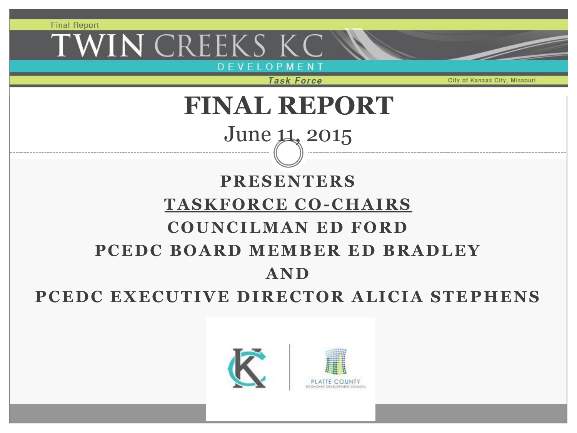WIN CREEKS KC DEVELOPMEN

**Task Force** 

City of Kansas City, Missour

## **FINAL REPORT**

## June 11, 2015

### **PRESENTERS TASKFORCE CO -CHAIRS COUNCILMAN ED FORD** PCEDC BOARD MEMBER ED BRADLEY **AND**

### PCEDC EXECUTIVE DIRECTOR ALICIA STEPHENS

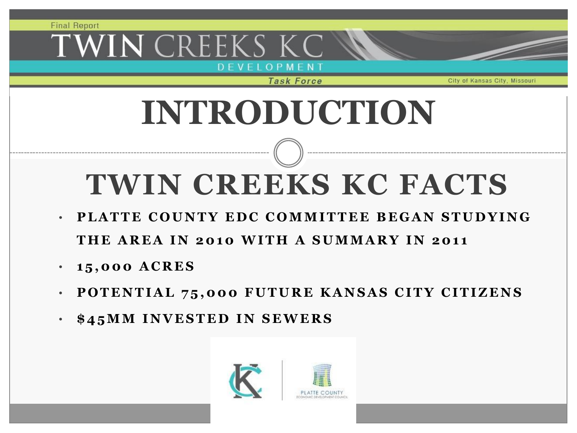### WIN CREEKS K OPMEN

**Task Force** 

City of Kansas City.

# **INTRODUCTION**

# **TWIN CREEKS KC FACTS**

- **PLATTE COUNTY EDC COMMITTEE BEGAN STUDYING** THE AREA IN 2010 WITH A SUMMARY IN 2011
- **1 5 , 0 0 0 A C R E S**
- **POTENTIAL 75,000 FUTURE KANSAS CITY CITIZENS**
- $$45MM$  INVESTED IN SEWERS

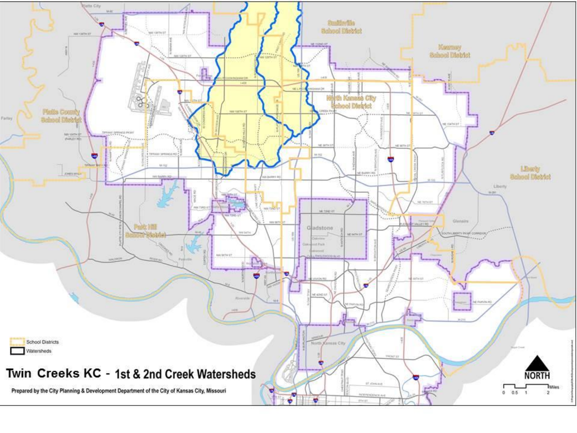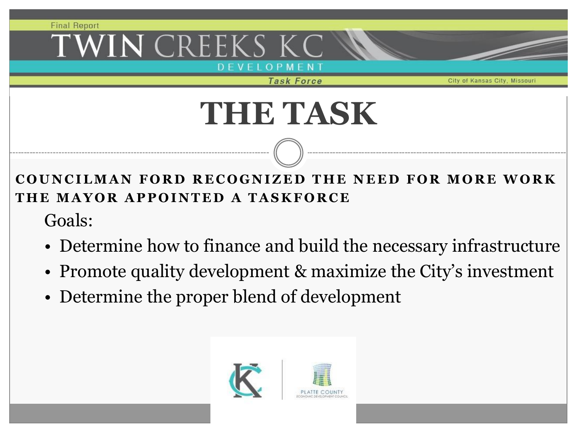## WIN CREEKS K

O P M E N T<br>Task Force

City of Kansas City.

# **THE TASK**

**COUNCILMAN FORD RECOGNIZED THE NEED FOR MORE WORK THE MAYOR APPOINTED A TASKFORCE** 

Goals:

- Determine how to finance and build the necessary infrastructure
- Promote quality development & maximize the City's investment
- Determine the proper blend of development

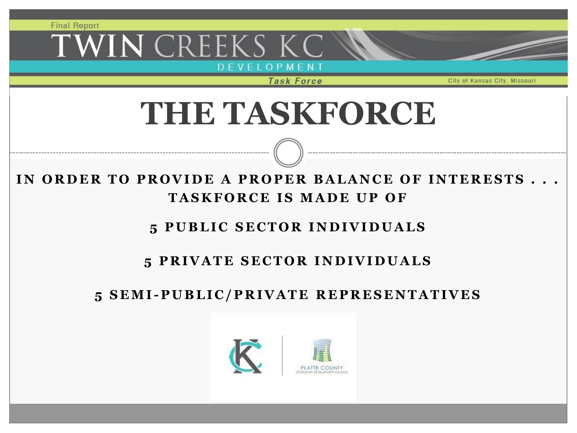**IN CREEKS K** 

D E V E L O P M E N T<br>Task Force

City of Kansas City, Missour

# **THE TASKFORCE**

IN ORDER TO PROVIDE A PROPER BALANCE OF INTERESTS **TASKFORCE IS MADE UP OF** 

#### **5 P U B L I C S E C T O R I N D I V I D U A L S**

#### **5 PRIVATE SECTOR INDIVIDUALS**

#### **5 S E M I - P U B L I C / P R I V A T E R E P R E S E N T A T I V E S**

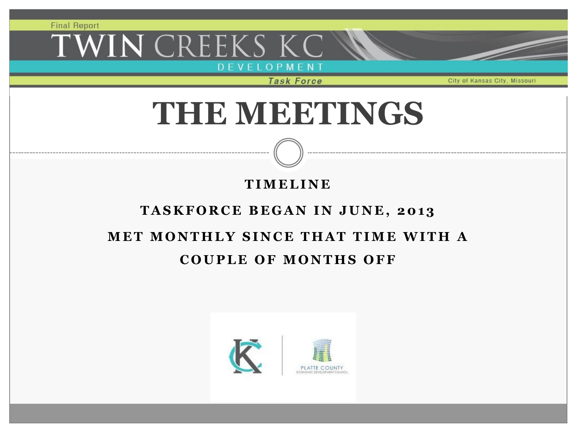WIN CREEKS KC

D E V E L O P M E N T<br>Task Force

City of Kansas City, Missour

## **THE MEETINGS**

#### **T I M E L I N E**

#### TASKFORCE BEGAN IN JUNE, 2013

### **MET MONTHLY SINCE THAT TIME WITH A COUPLE OF MONTHS OFF**

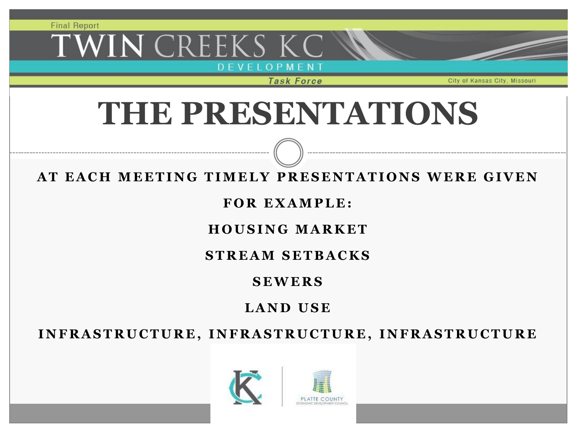# WIN CREEKS KC

D E V E L O P M E N T<br>Task Force

City of Kansas City.

# **THE PRESENTATIONS**

#### **AT EACH MEETING TIMELY PRESENTATIONS WERE GIVEN**

#### FOR EXAMPLE:

#### **H O U S I N G M A R K E T**

#### **S T R E A M S E T B A C K S**

#### **S E W E R S**

### **L A N D U S E**

INFRASTRUCTURE, INFRASTRUCTURE, INFRASTRUCTURE

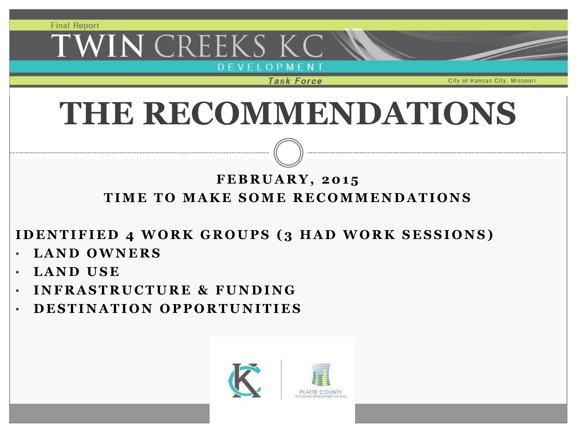## WIN CREEKS KC D E V E L O P M E N T<br>Task Force

City of Kansas City.

# **THE RECOMMENDATIONS**

### **F E B R U A R Y , 2 0 1 5** TIME TO MAKE SOME RECOMMENDATIONS

**IDENTIFIED 4 WORK GROUPS (3 HAD WORK SESSIONS)** 

- **L A N D O W N E R S**
- **L A N D U S E**
- **I N F R A S T R U C T U R E & F U N D I N G**
- **D E S T I N A T I O N O P P O R T U N I T I E S**

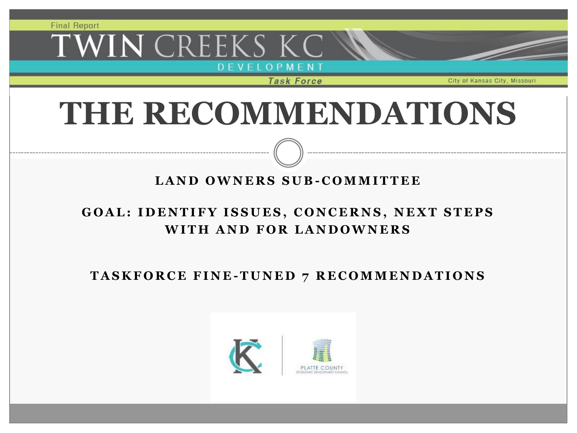## WIN CREEKS KC D E V E L O P M E N T<br>Task Force

City of Kansas City.

# **THE RECOMMENDATIONS**

#### **L A N D O W N E R S S U B - C O M M I T T E E**

#### **GOAL: IDENTIFY ISSUES, CONCERNS, NEXT STEPS WITH AND FOR LANDOWNERS**

TASKFORCE FINE-TUNED 7 RECOMMENDATIONS

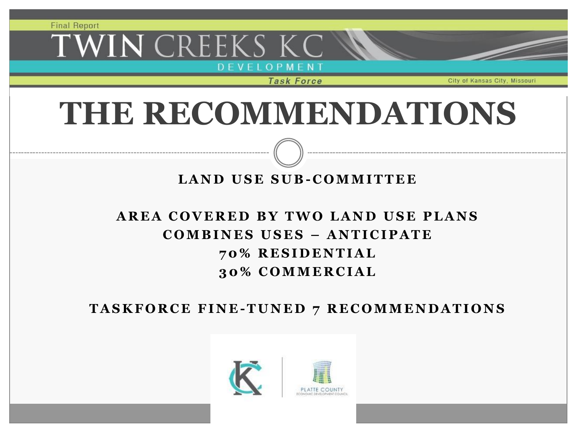## WIN CREEKS KC D E V E L O P M E N T<br>Task Force

City of Kansas City.

# **THE RECOMMENDATIONS**

#### **L A N D U S E S U B - C O M M I T T E E**

### AREA COVERED BY TWO LAND USE PLANS **C O M B I N E S U S E S – A N T I C I P A T E 7 0 % R E S I D E N T I A L 3 0 % C O M M E R C I A L**

**T A S K F O R C E F I N E -T U N E D 7 R E C O M M E N D A T I O N S**

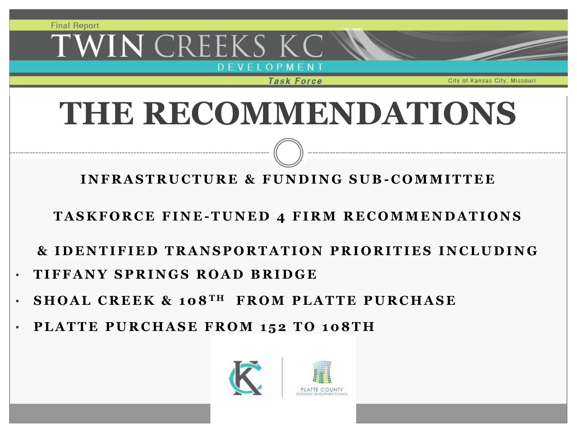## 'WIN CREEKS KC OPMENT<br>Task Force

# **THE RECOMMENDATIONS**

**I N F R A S T R U C T U R E & F U N D I N G S U B - C O M M I T T E E**

**TASKFORCE FINE-TUNED 4 FIRM RECOMMENDATIONS** 

**& I D E N T I F I E D T R A N S P O R T A T I O N P R I O R I T I E S I N C L U D I N G**

- **T I F F A N Y S P R I N G S R O A D B R I D G E**
- **S H O A L C R E E K & 1 0 8 T H F R O M P L A T T E P U R C H A S E**
- PLATTE PURCHASE FROM 152 TO 108TH

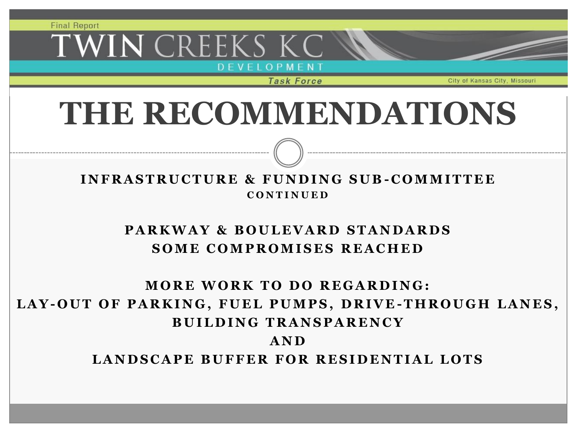## WIN CREEKS KC D E V E L O P M E N T<br>Task Force

# **THE RECOMMENDATIONS**

#### **I N F R A S T R U C T U R E & F U N D I N G S U B - C O M M I T T E E C O N T I N U E D**

### **PARKWAY & BOULEVARD STANDARDS SOME COMPROMISES REACHED**

### **MORE WORK TO DO REGARDING:** LAY-OUT OF PARKING, FUEL PUMPS, DRIVE-THROUGH LANES, **B U I L D I N G T R A N S P A R E N C Y A N D**

LANDSCAPE BUFFER FOR RESIDENTIAL LOTS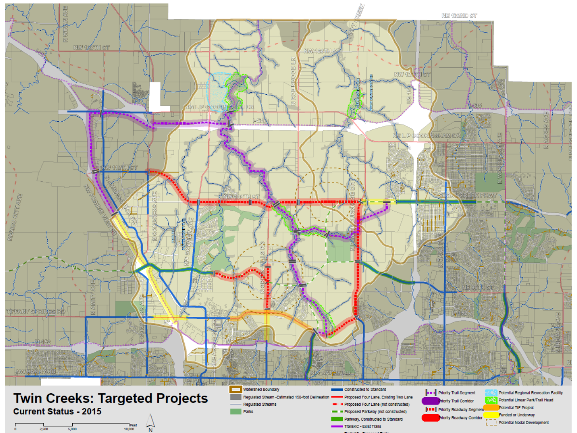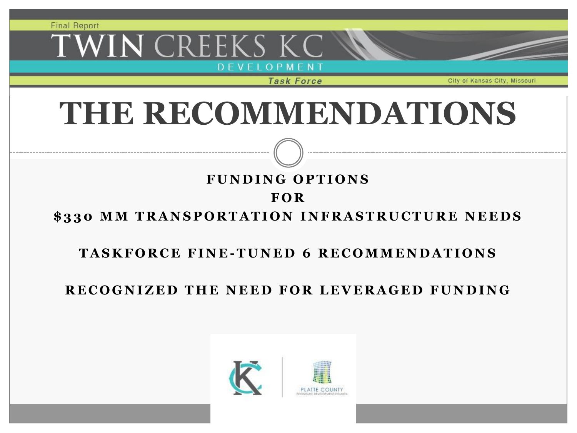## WIN CREEKS KC D E V E L O P M E N T<br>Task Force

City of Kansas City

# **THE RECOMMENDATIONS**

#### **F U N D I N G O P T I O N S F O R**

### \$330 MM TRANSPORTATION INFRASTRUCTURE NEEDS

#### **T A S K F O R C E F I N E -T U N E D 6 R E C O M M E N D A T I O N S**

### **R E C O G N I Z E D T H E N E E D F O R L E V E R A G E D F U N D I N G**

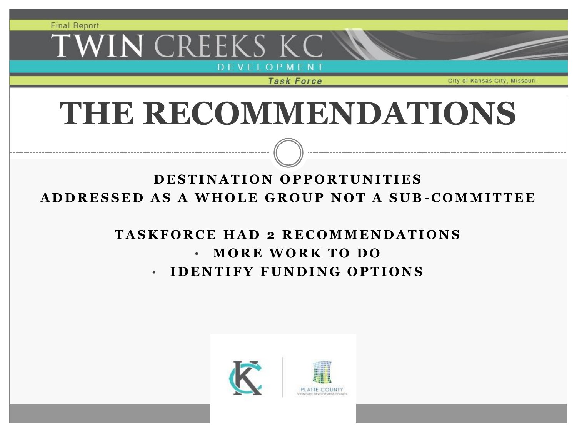## WIN CREEKS KC D E V E L O P M E N T<br>Task Force

City of Kansas City, Missour

# **THE RECOMMENDATIONS**

### **D E S T I N A T I O N O P P O R T U N I T I E S A D D R E S S E D A S A W H O L E G R O U P N O T A S U B - C O M M I T T E E**

### **T A S K F O R C E H A D 2 R E C O M M E N D A T I O N S** • **M O R E W O R K T O D O** • **I D E N T I F Y F U N D I N G O P T I O N S**



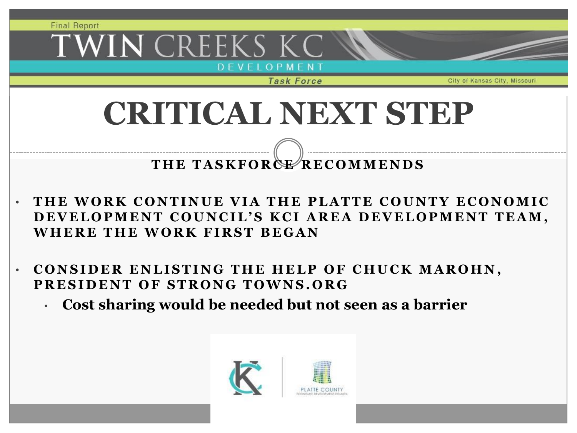**Final Report** WIN CREEKS KC D E V E L O P M E N T<br>Task Force City of Kansas City. **CRITICAL NEXT STEPTHE TASKFORGE RECOMMENDS** 

- THE WORK CONTINUE VIA THE PLATTE COUNTY ECONOMIC DEVELOPMENT COUNCIL'S KCI AREA DEVELOPMENT TEAM, **WHERE THE WORK FIRST BEGAN**
- **CONSIDER ENLISTING THE HELP OF CHUCK MAROHN, PRESIDENT OF STRONG TOWNS.ORG** 
	- **Cost sharing would be needed but not seen as a barrier**